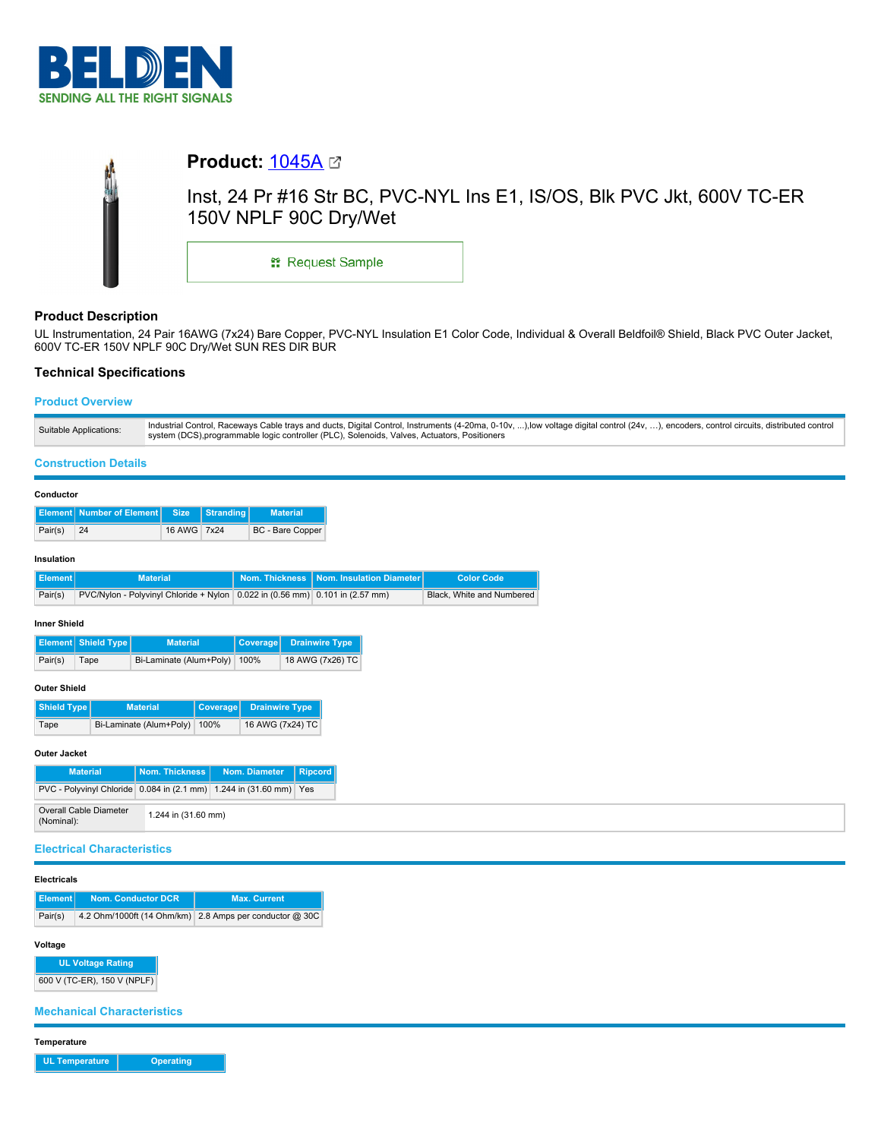

|  |  | <b>Product: <math>1045A \n\text{C}</math></b>                                                   |  |  |  |  |  |  |  |
|--|--|-------------------------------------------------------------------------------------------------|--|--|--|--|--|--|--|
|  |  | lnst, 24 Pr #16 Str BC, PVC-NYL Ins E1, IS/OS, Blk PVC Jkt, 600V TC-ER<br>150V NPLF 90C Dry/Wet |  |  |  |  |  |  |  |
|  |  | <b>: Request Sample</b>                                                                         |  |  |  |  |  |  |  |

# **Product Description**

UL Instrumentation, 24 Pair 16AWG (7x24) Bare Copper, PVC-NYL Insulation E1 Color Code, Individual & Overall Beldfoil® Shield, Black PVC Outer Jacket, 600V TC-ER 150V NPLF 90C Dry/Wet SUN RES DIR BUR

# **Technical Specifications**

## **Product Overview**

| Industrial Control, Raceways Cable trays and ducts, Digital Control, Instruments (4-20ma, 0-10v, ),low voltage digital control (24v, ), encoders, control circuits, distributed control<br>Suitable Applications:<br>system (DCS), programmable logic controller (PLC), Solenoids, Valves, Actuators, Positioners |
|-------------------------------------------------------------------------------------------------------------------------------------------------------------------------------------------------------------------------------------------------------------------------------------------------------------------|
|-------------------------------------------------------------------------------------------------------------------------------------------------------------------------------------------------------------------------------------------------------------------------------------------------------------------|

## **Construction Details**

| Conductor           |                                                                                  |                         |                  |                       |                       |                       |                          |                           |  |  |
|---------------------|----------------------------------------------------------------------------------|-------------------------|------------------|-----------------------|-----------------------|-----------------------|--------------------------|---------------------------|--|--|
|                     | <b>Element</b> Number of Element                                                 | <b>Size</b>             | <b>Stranding</b> |                       | <b>Material</b>       |                       |                          |                           |  |  |
| Pair(s)             | 24                                                                               | 16 AWG                  | 7x24             |                       | BC - Bare Copper      |                       |                          |                           |  |  |
| Insulation          |                                                                                  |                         |                  |                       |                       |                       |                          |                           |  |  |
| <b>Element</b>      |                                                                                  | <b>Material</b>         |                  | <b>Nom. Thickness</b> |                       |                       | Nom. Insulation Diameter | <b>Color Code</b>         |  |  |
| Pair(s)             | PVC/Nylon - Polyvinyl Chloride + Nylon 0.022 in $(0.56$ mm) 0.101 in $(2.57$ mm) |                         |                  |                       |                       |                       |                          | Black. White and Numbered |  |  |
| <b>Inner Shield</b> |                                                                                  |                         |                  |                       |                       |                       |                          |                           |  |  |
|                     | Shield Type<br><b>Material</b><br>Element                                        |                         |                  | <b>Coverage</b>       |                       | <b>Drainwire Type</b> |                          |                           |  |  |
| Pair(s)             | Bi-Laminate (Alum+Poly)<br>Tape                                                  |                         |                  | 100%                  |                       | 18 AWG (7x26) TC      |                          |                           |  |  |
| <b>Outer Shield</b> |                                                                                  |                         |                  |                       |                       |                       |                          |                           |  |  |
| Shield Type         |                                                                                  | <b>Material</b>         | <b>Coverage</b>  |                       | <b>Drainwire Type</b> |                       |                          |                           |  |  |
| Tape                |                                                                                  | Bi-Laminate (Alum+Poly) | 100%             | 16 AWG (7x24) TC      |                       |                       |                          |                           |  |  |
| Outer Jacket        |                                                                                  |                         |                  |                       |                       |                       |                          |                           |  |  |

| <b>Outer Jacket</b>                                                |                     |                                          |  |
|--------------------------------------------------------------------|---------------------|------------------------------------------|--|
| <b>Material</b>                                                    |                     | Nom. Thickness   Nom. Diameter   Ripcord |  |
| PVC - Polyvinyl Chloride 0.084 in (2.1 mm) 1.244 in (31.60 mm) Yes |                     |                                          |  |
| Overall Cable Diameter<br>(Nominal):                               | 1.244 in (31.60 mm) |                                          |  |

## **Electrical Characteristics**

## **Electricals**

| l Element l⊹ | <b>Nom. Conductor DCR</b> | <b>Max. Current</b>                                     |  |  |
|--------------|---------------------------|---------------------------------------------------------|--|--|
| Pair(s)      |                           | 4.2 Ohm/1000ft (14 Ohm/km) 2.8 Amps per conductor @ 30C |  |  |

### **Voltage**

**UL Voltage Rating**

600 V (TC-ER), 150 V (NPLF)

**Mechanical Characteristics**

**Temperature**

**UL Temperature Operating**